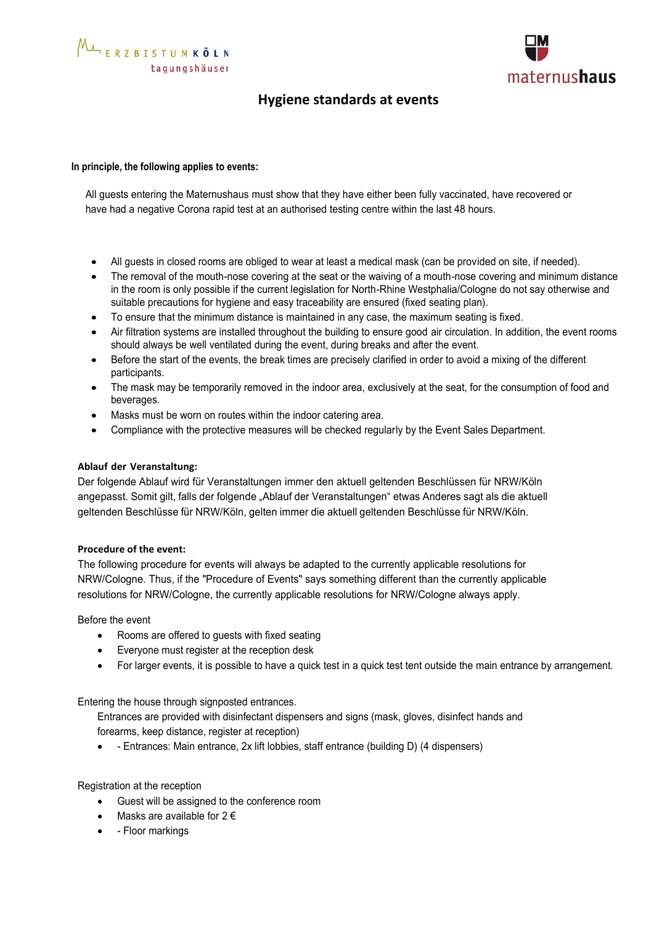

## **Hygiene standards at events**

### **In principle, the following applies to events:**

All guests entering the Maternushaus must show that they have either been fully vaccinated, have recovered or have had a negative Corona rapid test at an authorised testing centre within the last 48 hours.

- All guests in closed rooms are obliged to wear at least a medical mask (can be provided on site, if needed).
- The removal of the mouth-nose covering at the seat or the waiving of a mouth-nose covering and minimum distance in the room is only possible if the current legislation for North-Rhine Westphalia/Cologne do not say otherwise and suitable precautions for hygiene and easy traceability are ensured (fixed seating plan).
- To ensure that the minimum distance is maintained in any case, the maximum seating is fixed.
- Air filtration systems are installed throughout the building to ensure good air circulation. In addition, the event rooms should always be well ventilated during the event, during breaks and after the event.
- Before the start of the events, the break times are precisely clarified in order to avoid a mixing of the different participants.
- The mask may be temporarily removed in the indoor area, exclusively at the seat, for the consumption of food and beverages.
- Masks must be worn on routes within the indoor catering area.
- Compliance with the protective measures will be checked regularly by the Event Sales Department.

### **Ablauf der Veranstaltung:**

Der folgende Ablauf wird für Veranstaltungen immer den aktuell geltenden Beschlüssen für NRW/Köln angepasst. Somit gilt, falls der folgende "Ablauf der Veranstaltungen" etwas Anderes sagt als die aktuell geltenden Beschlüsse für NRW/Köln, gelten immer die aktuell geltenden Beschlüsse für NRW/Köln.

#### **Procedure of the event:**

The following procedure for events will always be adapted to the currently applicable resolutions for NRW/Cologne. Thus, if the "Procedure of Events" says something different than the currently applicable resolutions for NRW/Cologne, the currently applicable resolutions for NRW/Cologne always apply.

Before the event

- Rooms are offered to guests with fixed seating
- Everyone must register at the reception desk
- For larger events, it is possible to have a quick test in a quick test tent outside the main entrance by arrangement.

Entering the house through signposted entrances.

Entrances are provided with disinfectant dispensers and signs (mask, gloves, disinfect hands and forearms, keep distance, register at reception)

• - Entrances: Main entrance, 2x lift lobbies, staff entrance (building D) (4 dispensers)

Registration at the reception

- Guest will be assigned to the conference room
- Masks are available for  $2 \in$
- - Floor markings